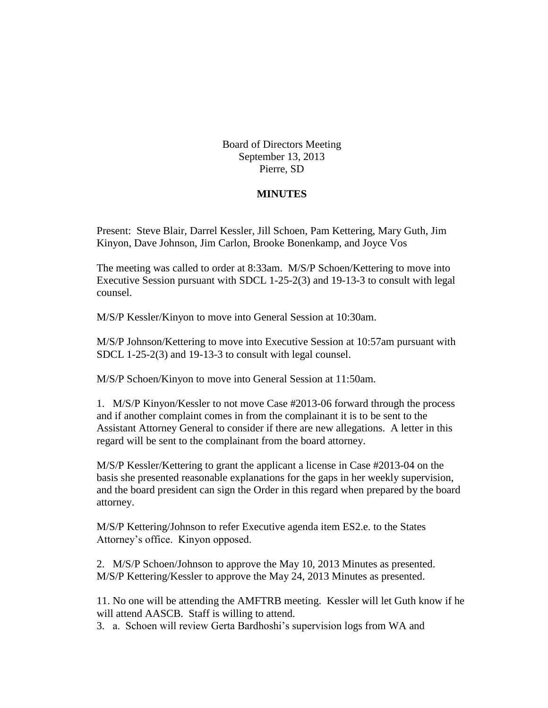Board of Directors Meeting September 13, 2013 Pierre, SD

## **MINUTES**

Present: Steve Blair, Darrel Kessler, Jill Schoen, Pam Kettering, Mary Guth, Jim Kinyon, Dave Johnson, Jim Carlon, Brooke Bonenkamp, and Joyce Vos

The meeting was called to order at 8:33am. M/S/P Schoen/Kettering to move into Executive Session pursuant with SDCL 1-25-2(3) and 19-13-3 to consult with legal counsel.

M/S/P Kessler/Kinyon to move into General Session at 10:30am.

M/S/P Johnson/Kettering to move into Executive Session at 10:57am pursuant with SDCL 1-25-2(3) and 19-13-3 to consult with legal counsel.

M/S/P Schoen/Kinyon to move into General Session at 11:50am.

1. M/S/P Kinyon/Kessler to not move Case #2013-06 forward through the process and if another complaint comes in from the complainant it is to be sent to the Assistant Attorney General to consider if there are new allegations. A letter in this regard will be sent to the complainant from the board attorney.

M/S/P Kessler/Kettering to grant the applicant a license in Case #2013-04 on the basis she presented reasonable explanations for the gaps in her weekly supervision, and the board president can sign the Order in this regard when prepared by the board attorney.

M/S/P Kettering/Johnson to refer Executive agenda item ES2.e. to the States Attorney's office. Kinyon opposed.

2. M/S/P Schoen/Johnson to approve the May 10, 2013 Minutes as presented. M/S/P Kettering/Kessler to approve the May 24, 2013 Minutes as presented.

11. No one will be attending the AMFTRB meeting. Kessler will let Guth know if he will attend AASCB. Staff is willing to attend.

3. a. Schoen will review Gerta Bardhoshi's supervision logs from WA and